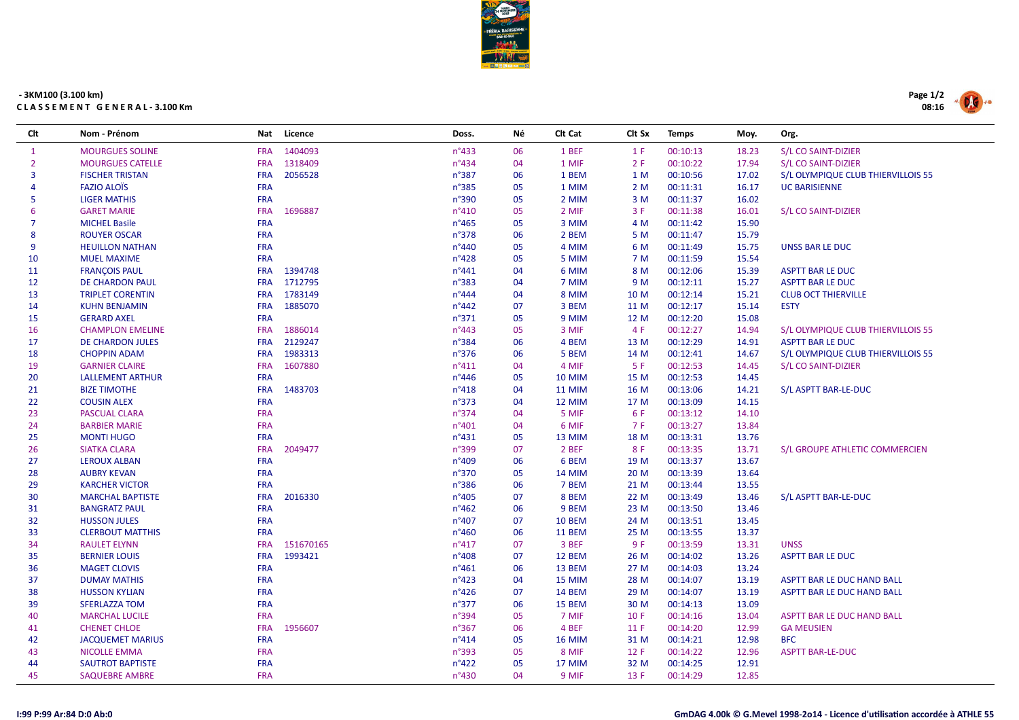

## - 3KM100 (3.100 km) CLASSEMENT GENERAL-3.100 Km

| Clt            | Nom - Prénom            | Nat        | Licence   | Doss.           | Νé | Cit Cat       | Clt Sx | <b>Temps</b> | Moy.  | Org.                               |
|----------------|-------------------------|------------|-----------|-----------------|----|---------------|--------|--------------|-------|------------------------------------|
| $\mathbf{1}$   | <b>MOURGUES SOLINE</b>  | <b>FRA</b> | 1404093   | n°433           | 06 | 1 BEF         | 1 F    | 00:10:13     | 18.23 | S/L CO SAINT-DIZIER                |
| 2              | <b>MOURGUES CATELLE</b> | <b>FRA</b> | 1318409   | n°434           | 04 | 1 MIF         | 2F     | 00:10:22     | 17.94 | S/L CO SAINT-DIZIER                |
| $\mathbf{R}$   | <b>FISCHER TRISTAN</b>  | <b>FRA</b> | 2056528   | n°387           | 06 | 1 BEM         | 1 M    | 00:10:56     | 17.02 | S/L OLYMPIQUE CLUB THIERVILLOIS 55 |
| 4              | <b>FAZIO ALOIS</b>      | <b>FRA</b> |           | $n^{\circ}385$  | 05 | 1 MIM         | 2M     | 00:11:31     | 16.17 | <b>UC BARISIENNE</b>               |
| 5              | <b>LIGER MATHIS</b>     | <b>FRA</b> |           | n°390           | 05 | 2 MIM         | 3M     | 00:11:37     | 16.02 |                                    |
| $\overline{6}$ | <b>GARET MARIE</b>      | <b>FRA</b> | 1696887   | $n^{\circ}410$  | 05 | 2 MIF         | 3 F    | 00:11:38     | 16.01 | S/L CO SAINT-DIZIER                |
| 7              | <b>MICHEL Basile</b>    | <b>FRA</b> |           | $n^{\circ}465$  | 05 | 3 MIM         | 4 M    | 00:11:42     | 15.90 |                                    |
| 8              | <b>ROUYER OSCAR</b>     | <b>FRA</b> |           | n°378           | 06 | 2 BEM         | 5 M    | 00:11:47     | 15.79 |                                    |
| 9              | <b>HEUILLON NATHAN</b>  | <b>FRA</b> |           | $n^{\circ}440$  | 05 | 4 MIM         | 6 M    | 00:11:49     | 15.75 | UNSS BAR LE DUC                    |
| 10             | <b>MUEL MAXIME</b>      | <b>FRA</b> |           | $n^{\circ}428$  | 05 | 5 MIM         | 7 M    | 00:11:59     | 15.54 |                                    |
| 11             | <b>FRANÇOIS PAUL</b>    | <b>FRA</b> | 1394748   | $n^{\circ}441$  | 04 | 6 MIM         | 8 M    | 00:12:06     | 15.39 | <b>ASPTT BAR LE DUC</b>            |
| 12             | <b>DE CHARDON PAUL</b>  | <b>FRA</b> | 1712795   | n°383           | 04 | 7 MIM         | 9 M    | 00:12:11     | 15.27 | <b>ASPTT BAR LE DUC</b>            |
| 13             | <b>TRIPLET CORENTIN</b> | <b>FRA</b> | 1783149   | $n^{\circ}444$  | 04 | 8 MIM         | 10 M   | 00:12:14     | 15.21 | <b>CLUB OCT THIERVILLE</b>         |
| 14             | <b>KUHN BENJAMIN</b>    | <b>FRA</b> | 1885070   | $n^{\circ}442$  | 07 | 3 BEM         | 11 M   | 00:12:17     | 15.14 | <b>ESTY</b>                        |
| 15             | <b>GERARD AXEL</b>      | <b>FRA</b> |           | $n^{\circ}371$  | 05 | 9 MIM         | 12 M   | 00:12:20     | 15.08 |                                    |
| 16             | <b>CHAMPLON EMELINE</b> | <b>FRA</b> | 1886014   | $n^{\circ}443$  | 05 | 3 MIF         | 4 F    | 00:12:27     | 14.94 | S/L OLYMPIQUE CLUB THIERVILLOIS 55 |
| 17             | <b>DE CHARDON JULES</b> | <b>FRA</b> | 2129247   | n°384           | 06 | 4 BEM         | 13 M   | 00:12:29     | 14.91 | <b>ASPTT BAR LE DUC</b>            |
| 18             | <b>CHOPPIN ADAM</b>     | <b>FRA</b> | 1983313   | n°376           | 06 | 5 BEM         | 14 M   | 00:12:41     | 14.67 | S/L OLYMPIQUE CLUB THIERVILLOIS 55 |
| 19             | <b>GARNIER CLAIRE</b>   | <b>FRA</b> | 1607880   | $n^{\circ}411$  | 04 | 4 MIF         | 5F     | 00:12:53     | 14.45 | S/L CO SAINT-DIZIER                |
| 20             | <b>LALLEMENT ARTHUR</b> | <b>FRA</b> |           | $n^{\circ}$ 446 | 05 | <b>10 MIM</b> | 15 M   | 00:12:53     | 14.45 |                                    |
| 21             | <b>BIZE TIMOTHE</b>     | <b>FRA</b> | 1483703   | $n^{\circ}418$  | 04 | <b>11 MIM</b> | 16 M   | 00:13:06     | 14.21 | S/L ASPTT BAR-LE-DUC               |
| 22             | <b>COUSIN ALEX</b>      | <b>FRA</b> |           | $n^{\circ}373$  | 04 | 12 MIM        | 17 M   | 00:13:09     | 14.15 |                                    |
| 23             | <b>PASCUAL CLARA</b>    | <b>FRA</b> |           | $n^{\circ}374$  | 04 | 5 MIF         | 6 F    | 00:13:12     | 14.10 |                                    |
| 24             | <b>BARBIER MARIE</b>    | <b>FRA</b> |           | n°401           | 04 | 6 MIF         | 7 F    | 00:13:27     | 13.84 |                                    |
| 25             | <b>MONTI HUGO</b>       | <b>FRA</b> |           | $n^{\circ}431$  | 05 | 13 MIM        | 18 M   | 00:13:31     | 13.76 |                                    |
| 26             | <b>SIATKA CLARA</b>     | <b>FRA</b> | 2049477   | n°399           | 07 | 2 BEF         | 8 F    | 00:13:35     | 13.71 | S/L GROUPE ATHLETIC COMMERCIEN     |
| 27             | <b>LEROUX ALBAN</b>     | <b>FRA</b> |           | $n^{\circ}409$  | 06 | 6 BEM         | 19 M   | 00:13:37     | 13.67 |                                    |
| 28             | <b>AUBRY KEVAN</b>      | <b>FRA</b> |           | n°370           | 05 | <b>14 MIM</b> | 20 M   | 00:13:39     | 13.64 |                                    |
| 29             | <b>KARCHER VICTOR</b>   | <b>FRA</b> |           | n°386           | 06 | 7 BEM         | 21 M   | 00:13:44     | 13.55 |                                    |
| 30             | <b>MARCHAL BAPTISTE</b> | <b>FRA</b> | 2016330   | n°405           | 07 | 8 BEM         | 22 M   | 00:13:49     | 13.46 | S/L ASPTT BAR-LE-DUC               |
| 31             | <b>BANGRATZ PAUL</b>    | <b>FRA</b> |           | $n^{\circ}462$  | 06 | 9 BEM         | 23 M   | 00:13:50     | 13.46 |                                    |
| 32             | <b>HUSSON JULES</b>     | <b>FRA</b> |           | n°407           | 07 | <b>10 BEM</b> | 24 M   | 00:13:51     | 13.45 |                                    |
| 33             | <b>CLERBOUT MATTHIS</b> | <b>FRA</b> |           | $n^{\circ}460$  | 06 | <b>11 BEM</b> | 25 M   | 00:13:55     | 13.37 |                                    |
| 34             | <b>RAULET ELYNN</b>     | <b>FRA</b> | 151670165 | $n^{\circ}417$  | 07 | 3 BEF         | 9F     | 00:13:59     | 13.31 | <b>UNSS</b>                        |
| 35             | <b>BERNIER LOUIS</b>    | <b>FRA</b> | 1993421   | n°408           | 07 | 12 BEM        | 26 M   | 00:14:02     | 13.26 | <b>ASPTT BAR LE DUC</b>            |
| 36             | <b>MAGET CLOVIS</b>     | <b>FRA</b> |           | $n^{\circ}461$  | 06 | 13 BEM        | 27 M   | 00:14:03     | 13.24 |                                    |
| 37             | <b>DUMAY MATHIS</b>     | <b>FRA</b> |           | $n^{\circ}423$  | 04 | 15 MIM        | 28 M   | 00:14:07     | 13.19 | ASPTT BAR LE DUC HAND BALL         |
| 38             | <b>HUSSON KYLIAN</b>    | <b>FRA</b> |           | $n^{\circ}426$  | 07 | <b>14 BEM</b> | 29 M   | 00:14:07     | 13.19 | ASPTT BAR LE DUC HAND BALL         |
| 39             | <b>SFERLAZZA TOM</b>    | <b>FRA</b> |           | n°377           | 06 | 15 BEM        | 30 M   | 00:14:13     | 13.09 |                                    |
| 40             | <b>MARCHAL LUCILE</b>   | <b>FRA</b> |           | n°394           | 05 | 7 MIF         | 10 F   | 00:14:16     | 13.04 | ASPTT BAR LE DUC HAND BALL         |
| 41             | <b>CHENET CHLOE</b>     | <b>FRA</b> | 1956607   | n°367           | 06 | 4 BEF         | 11 F   | 00:14:20     | 12.99 | <b>GA MEUSIEN</b>                  |
| 42             | <b>JACQUEMET MARIUS</b> | <b>FRA</b> |           | $n^{\circ}414$  | 05 | <b>16 MIM</b> | 31 M   | 00:14:21     | 12.98 | <b>BFC</b>                         |
| 43             | <b>NICOLLE EMMA</b>     | <b>FRA</b> |           | n°393           | 05 | 8 MIF         | 12 F   | 00:14:22     | 12.96 | <b>ASPTT BAR-LE-DUC</b>            |
| 44             | <b>SAUTROT BAPTISTE</b> | <b>FRA</b> |           | $n^{\circ}422$  | 05 | 17 MIM        | 32 M   | 00:14:25     | 12.91 |                                    |
| 45             | <b>SAQUEBRE AMBRE</b>   | <b>FRA</b> |           | $n^{\circ}430$  | 04 | 9 MIF         | 13 F   | 00:14:29     | 12.85 |                                    |